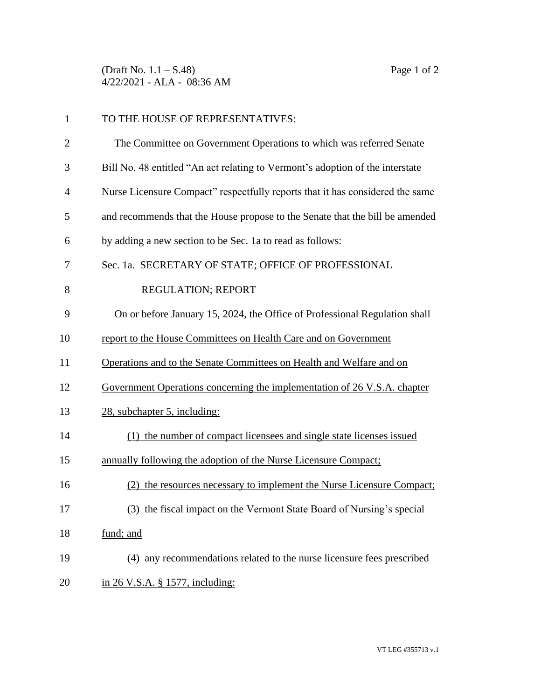(Draft No.  $1.1 - S.48$ ) Page 1 of 2 4/22/2021 - ALA - 08:36 AM

| $\mathbf{1}$   | TO THE HOUSE OF REPRESENTATIVES:                                              |
|----------------|-------------------------------------------------------------------------------|
| $\overline{2}$ | The Committee on Government Operations to which was referred Senate           |
| 3              | Bill No. 48 entitled "An act relating to Vermont's adoption of the interstate |
| $\overline{4}$ | Nurse Licensure Compact" respectfully reports that it has considered the same |
| 5              | and recommends that the House propose to the Senate that the bill be amended  |
| 6              | by adding a new section to be Sec. 1a to read as follows:                     |
| 7              | Sec. 1a. SECRETARY OF STATE; OFFICE OF PROFESSIONAL                           |
| 8              | REGULATION; REPORT                                                            |
| 9              | On or before January 15, 2024, the Office of Professional Regulation shall    |
| 10             | report to the House Committees on Health Care and on Government               |
| 11             | Operations and to the Senate Committees on Health and Welfare and on          |
| 12             | Government Operations concerning the implementation of 26 V.S.A. chapter      |
| 13             | 28, subchapter 5, including:                                                  |
| 14             | (1) the number of compact licensees and single state licenses issued          |
| 15             | annually following the adoption of the Nurse Licensure Compact;               |
| 16             | the resources necessary to implement the Nurse Licensure Compact;             |
| 17             | (3) the fiscal impact on the Vermont State Board of Nursing's special         |
| 18             | fund; and                                                                     |
| 19             | (4) any recommendations related to the nurse licensure fees prescribed        |
| 20             | in 26 V.S.A. § 1577, including:                                               |